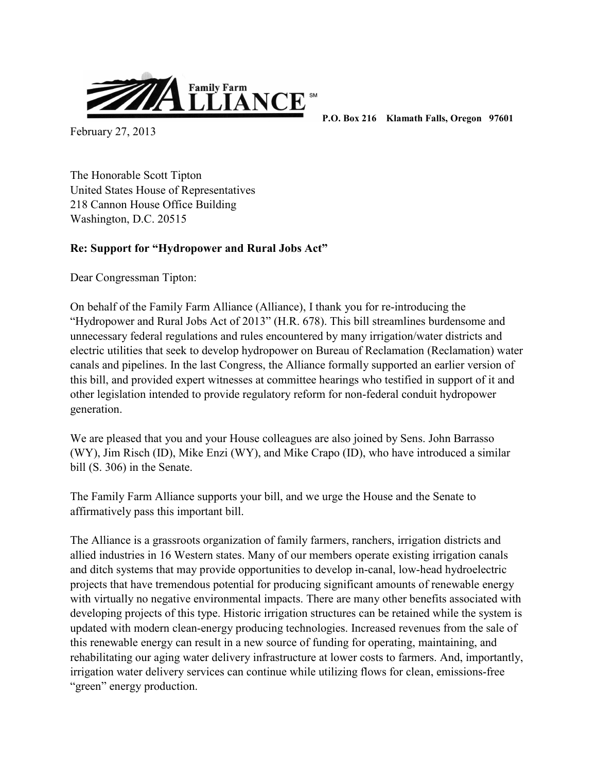

February 27, 2013

 **P.O. Box 216 Klamath Falls, Oregon 97601** 

The Honorable Scott Tipton United States House of Representatives 218 Cannon House Office Building Washington, D.C. 20515

## **Re: Support for "Hydropower and Rural Jobs Act"**

Dear Congressman Tipton:

On behalf of the Family Farm Alliance (Alliance), I thank you for re-introducing the "Hydropower and Rural Jobs Act of 2013" (H.R. 678). This bill streamlines burdensome and unnecessary federal regulations and rules encountered by many irrigation/water districts and electric utilities that seek to develop hydropower on Bureau of Reclamation (Reclamation) water canals and pipelines. In the last Congress, the Alliance formally supported an earlier version of this bill, and provided expert witnesses at committee hearings who testified in support of it and other legislation intended to provide regulatory reform for non-federal conduit hydropower generation.

We are pleased that you and your House colleagues are also joined by Sens. John Barrasso (WY), Jim Risch (ID), Mike Enzi (WY), and Mike Crapo (ID), who have introduced a similar bill (S. 306) in the Senate.

The Family Farm Alliance supports your bill, and we urge the House and the Senate to affirmatively pass this important bill.

The Alliance is a grassroots organization of family farmers, ranchers, irrigation districts and allied industries in 16 Western states. Many of our members operate existing irrigation canals and ditch systems that may provide opportunities to develop in-canal, low-head hydroelectric projects that have tremendous potential for producing significant amounts of renewable energy with virtually no negative environmental impacts. There are many other benefits associated with developing projects of this type. Historic irrigation structures can be retained while the system is updated with modern clean-energy producing technologies. Increased revenues from the sale of this renewable energy can result in a new source of funding for operating, maintaining, and rehabilitating our aging water delivery infrastructure at lower costs to farmers. And, importantly, irrigation water delivery services can continue while utilizing flows for clean, emissions-free "green" energy production.